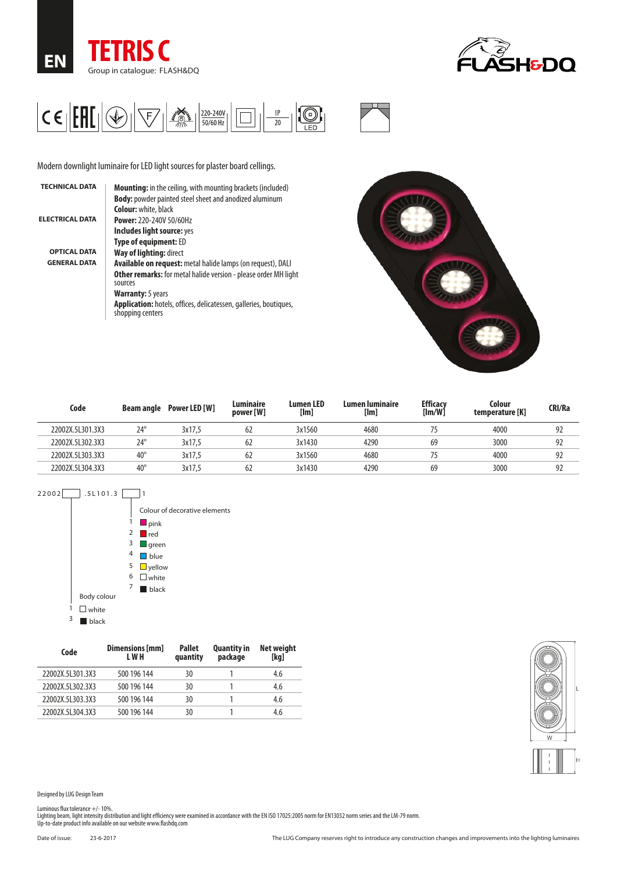





Modern downlight luminaire for LED light sources for plaster board cellings.

| <b>TECHNICAL DATA</b>  | <b>Mounting:</b> in the ceiling, with mounting brackets (included)                    |
|------------------------|---------------------------------------------------------------------------------------|
|                        | <b>Body:</b> powder painted steel sheet and anodized aluminum                         |
|                        | <b>Colour:</b> white, black                                                           |
| <b>ELECTRICAL DATA</b> | <b>Power: 220-240V 50/60Hz</b>                                                        |
|                        | Includes light source: yes                                                            |
|                        | <b>Type of equipment: ED</b>                                                          |
| <b>OPTICAL DATA</b>    | Way of lighting: direct                                                               |
| <b>GENERAL DATA</b>    | <b>Available on request:</b> metal halide lamps (on request), DALI                    |
|                        | <b>Other remarks:</b> for metal halide version - please order MH light<br>sources     |
|                        | <b>Warranty:</b> 5 years                                                              |
|                        | Application: hotels, offices, delicatessen, galleries, boutiques,<br>shopping centers |
|                        |                                                                                       |



| Code             | Beam angle   | Power LED [W] | Luminaire<br>power [W] | <b>Lumen LED</b><br>[Im] | Lumen luminaire<br>[lm] | <b>Efficacy</b><br>[Im/W] | Colour<br>temperature [K] | CRI/Ra |
|------------------|--------------|---------------|------------------------|--------------------------|-------------------------|---------------------------|---------------------------|--------|
| 22002X.5L301.3X3 | $24^\circ$   | 3x17.5        | 62                     | 3x1560                   | 4680                    |                           | 4000                      | 92     |
| 22002X.5L302.3X3 | $24^{\circ}$ | 3x17.5        | 62                     | 3x1430                   | 4290                    | 69                        | 3000                      | 92     |
| 22002X.5L303.3X3 | $40^{\circ}$ | 3x17.5        | 62                     | 3x1560                   | 4680                    |                           | 4000                      | 92     |
| 22002X.5L304.3X3 | $40^{\circ}$ | 3x17.5        | 62                     | 3x1430                   | 4290                    | 69                        | 3000                      | 92     |



| Code             | Dimensions [mm]<br>L W H | <b>Pallet</b><br>quantity | <b>Quantity in</b><br>package | <b>Net weight</b><br>[kq] |
|------------------|--------------------------|---------------------------|-------------------------------|---------------------------|
| 22002X.5L301.3X3 | 500 196 144              | 30                        |                               | 4.6                       |
| 22002X.5L302.3X3 | 500 196 144              | 30                        |                               | 4.6                       |
| 22002X.5L303.3X3 | 500 196 144              | 30                        |                               | 4.6                       |
| 22002X.5L304.3X3 | 500 196 144              | 30                        |                               | 4.6                       |



Designed by LUG Design Team

Luminous flux tolerance +/- 10%.<br>Lighting beam, light intensity distribution and light efficiency were examined in accordance with the EN ISO 17025:2005 norm for EN13032 norm series and the LM-79 norm.<br>Up-to-date product i